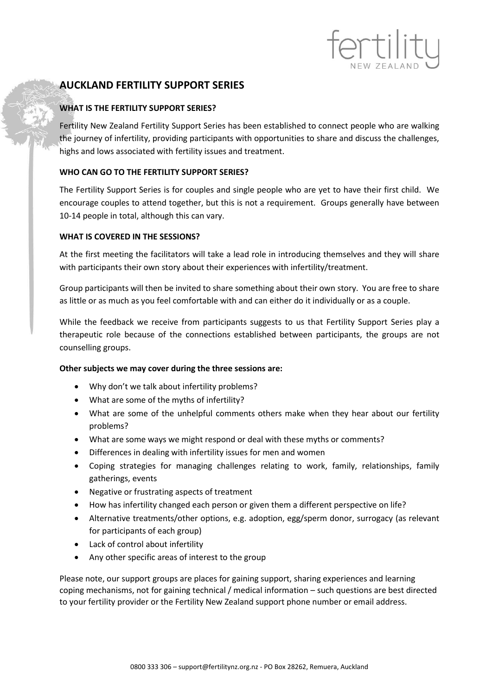# **AUCKLAND FERTILITY SUPPORT SERIES**

## **WHAT IS THE FERTILITY SUPPORT SERIES?**

Fertility New Zealand Fertility Support Series has been established to connect people who are walking the journey of infertility, providing participants with opportunities to share and discuss the challenges, highs and lows associated with fertility issues and treatment.

rtilit

## **WHO CAN GO TO THE FERTILITY SUPPORT SERIES?**

The Fertility Support Series is for couples and single people who are yet to have their first child. We encourage couples to attend together, but this is not a requirement. Groups generally have between 10-14 people in total, although this can vary.

## **WHAT IS COVERED IN THE SESSIONS?**

At the first meeting the facilitators will take a lead role in introducing themselves and they will share with participants their own story about their experiences with infertility/treatment.

Group participants will then be invited to share something about their own story. You are free to share as little or as much as you feel comfortable with and can either do it individually or as a couple.

While the feedback we receive from participants suggests to us that Fertility Support Series play a therapeutic role because of the connections established between participants, the groups are not counselling groups.

### **Other subjects we may cover during the three sessions are:**

- Why don't we talk about infertility problems?
- What are some of the myths of infertility?
- What are some of the unhelpful comments others make when they hear about our fertility problems?
- What are some ways we might respond or deal with these myths or comments?
- Differences in dealing with infertility issues for men and women
- Coping strategies for managing challenges relating to work, family, relationships, family gatherings, events
- Negative or frustrating aspects of treatment
- How has infertility changed each person or given them a different perspective on life?
- Alternative treatments/other options, e.g. adoption, egg/sperm donor, surrogacy (as relevant for participants of each group)
- Lack of control about infertility
- Any other specific areas of interest to the group

Please note, our support groups are places for gaining support, sharing experiences and learning coping mechanisms, not for gaining technical / medical information – such questions are best directed to your fertility provider or the Fertility New Zealand support phone number or email address.